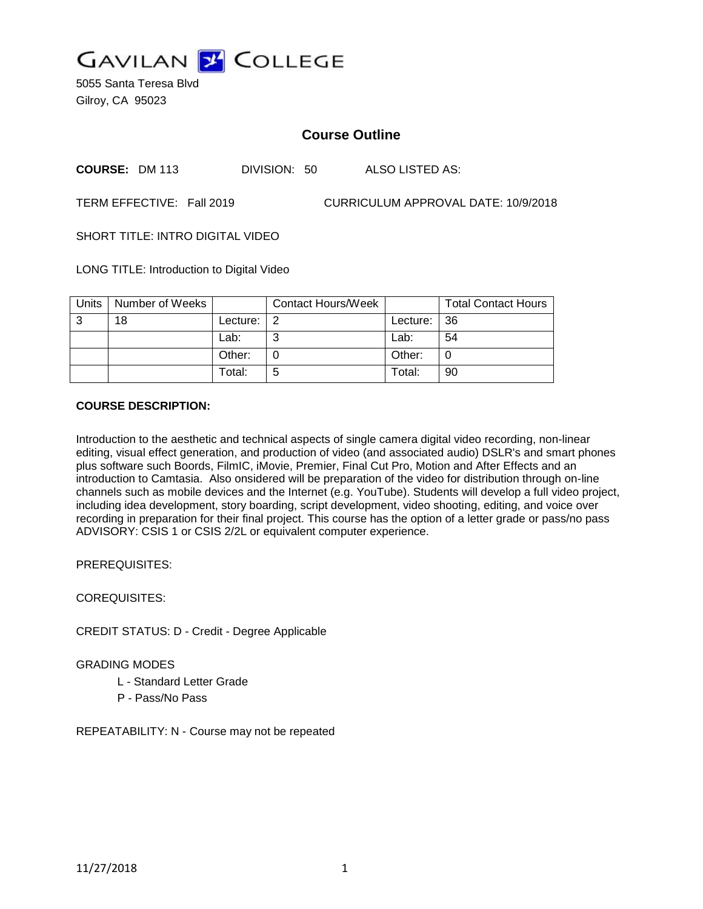

5055 Santa Teresa Blvd Gilroy, CA 95023

# **Course Outline**

**COURSE:** DM 113 DIVISION: 50 ALSO LISTED AS:

TERM EFFECTIVE: Fall 2019 CURRICULUM APPROVAL DATE: 10/9/2018

SHORT TITLE: INTRO DIGITAL VIDEO

LONG TITLE: Introduction to Digital Video

| Units | Number of Weeks |            | Contact Hours/Week |          | <b>Total Contact Hours</b> |
|-------|-----------------|------------|--------------------|----------|----------------------------|
| 3     | 18              | Lecture: I | -2                 | Lecture: | -36                        |
|       |                 | Lab:       | ⌒                  | Lab:     | 54                         |
|       |                 | Other:     |                    | Other:   |                            |
|       |                 | Total:     | 5                  | Total:   | 90                         |

## **COURSE DESCRIPTION:**

Introduction to the aesthetic and technical aspects of single camera digital video recording, non-linear editing, visual effect generation, and production of video (and associated audio) DSLR's and smart phones plus software such Boords, FilmIC, iMovie, Premier, Final Cut Pro, Motion and After Effects and an introduction to Camtasia. Also onsidered will be preparation of the video for distribution through on-line channels such as mobile devices and the Internet (e.g. YouTube). Students will develop a full video project, including idea development, story boarding, script development, video shooting, editing, and voice over recording in preparation for their final project. This course has the option of a letter grade or pass/no pass ADVISORY: CSIS 1 or CSIS 2/2L or equivalent computer experience.

PREREQUISITES:

COREQUISITES:

CREDIT STATUS: D - Credit - Degree Applicable

GRADING MODES

L - Standard Letter Grade

P - Pass/No Pass

REPEATABILITY: N - Course may not be repeated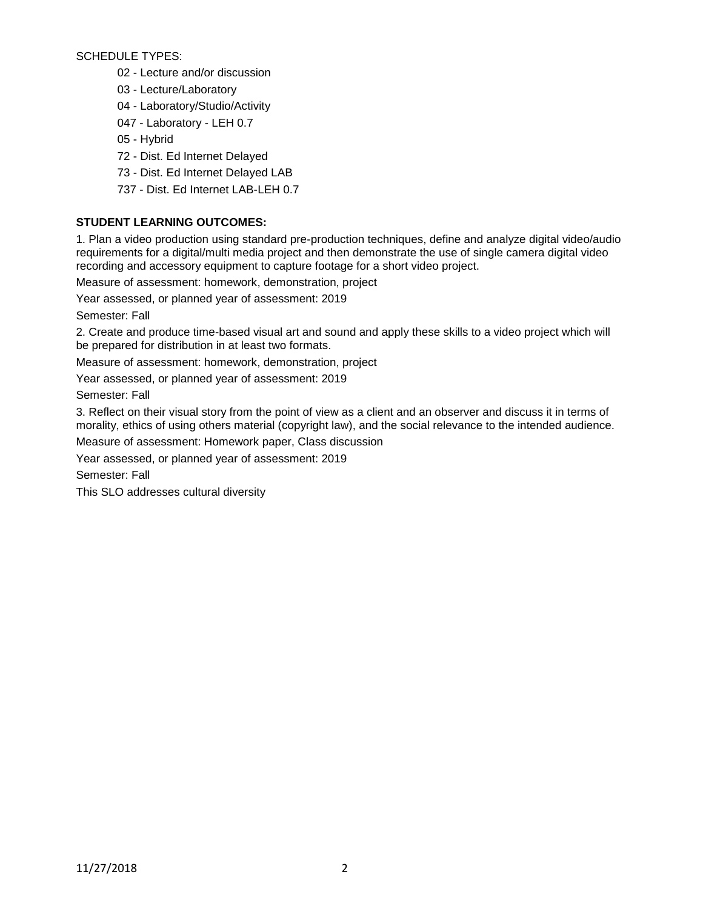SCHEDULE TYPES:

- 02 Lecture and/or discussion
- 03 Lecture/Laboratory
- 04 Laboratory/Studio/Activity
- 047 Laboratory LEH 0.7
- 05 Hybrid
- 72 Dist. Ed Internet Delayed
- 73 Dist. Ed Internet Delayed LAB
- 737 Dist. Ed Internet LAB-LEH 0.7

## **STUDENT LEARNING OUTCOMES:**

1. Plan a video production using standard pre-production techniques, define and analyze digital video/audio requirements for a digital/multi media project and then demonstrate the use of single camera digital video recording and accessory equipment to capture footage for a short video project.

Measure of assessment: homework, demonstration, project

Year assessed, or planned year of assessment: 2019

Semester: Fall

2. Create and produce time-based visual art and sound and apply these skills to a video project which will be prepared for distribution in at least two formats.

Measure of assessment: homework, demonstration, project

Year assessed, or planned year of assessment: 2019

Semester: Fall

3. Reflect on their visual story from the point of view as a client and an observer and discuss it in terms of morality, ethics of using others material (copyright law), and the social relevance to the intended audience.

Measure of assessment: Homework paper, Class discussion

Year assessed, or planned year of assessment: 2019

Semester: Fall

This SLO addresses cultural diversity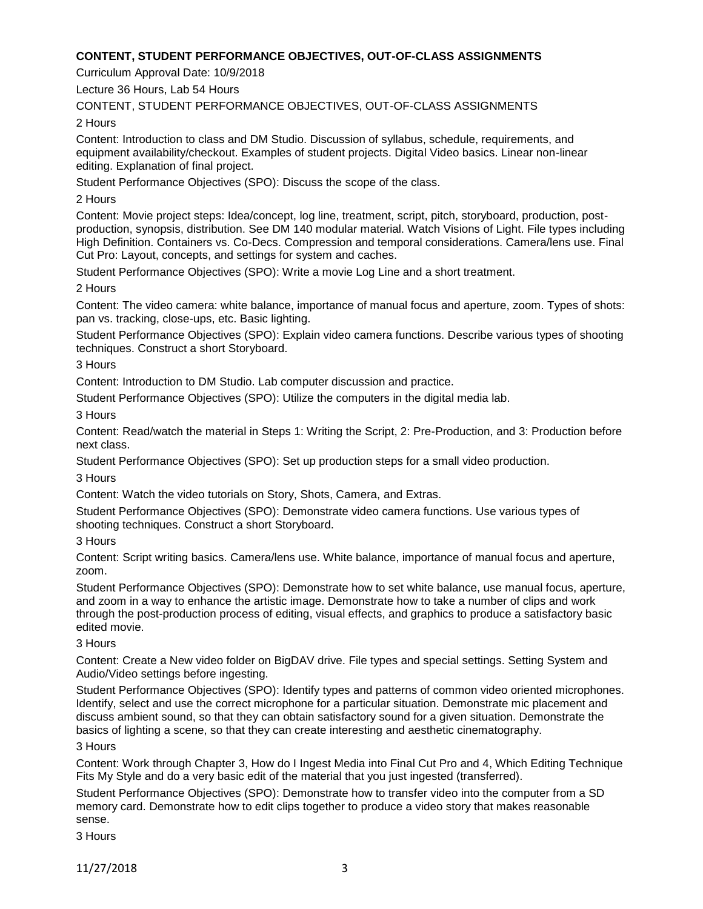## **CONTENT, STUDENT PERFORMANCE OBJECTIVES, OUT-OF-CLASS ASSIGNMENTS**

Curriculum Approval Date: 10/9/2018

Lecture 36 Hours, Lab 54 Hours

CONTENT, STUDENT PERFORMANCE OBJECTIVES, OUT-OF-CLASS ASSIGNMENTS

2 Hours

Content: Introduction to class and DM Studio. Discussion of syllabus, schedule, requirements, and equipment availability/checkout. Examples of student projects. Digital Video basics. Linear non-linear editing. Explanation of final project.

Student Performance Objectives (SPO): Discuss the scope of the class.

2 Hours

Content: Movie project steps: Idea/concept, log line, treatment, script, pitch, storyboard, production, postproduction, synopsis, distribution. See DM 140 modular material. Watch Visions of Light. File types including High Definition. Containers vs. Co-Decs. Compression and temporal considerations. Camera/lens use. Final Cut Pro: Layout, concepts, and settings for system and caches.

Student Performance Objectives (SPO): Write a movie Log Line and a short treatment.

2 Hours

Content: The video camera: white balance, importance of manual focus and aperture, zoom. Types of shots: pan vs. tracking, close-ups, etc. Basic lighting.

Student Performance Objectives (SPO): Explain video camera functions. Describe various types of shooting techniques. Construct a short Storyboard.

3 Hours

Content: Introduction to DM Studio. Lab computer discussion and practice.

Student Performance Objectives (SPO): Utilize the computers in the digital media lab.

3 Hours

Content: Read/watch the material in Steps 1: Writing the Script, 2: Pre-Production, and 3: Production before next class.

Student Performance Objectives (SPO): Set up production steps for a small video production.

3 Hours

Content: Watch the video tutorials on Story, Shots, Camera, and Extras.

Student Performance Objectives (SPO): Demonstrate video camera functions. Use various types of shooting techniques. Construct a short Storyboard.

3 Hours

Content: Script writing basics. Camera/lens use. White balance, importance of manual focus and aperture, zoom.

Student Performance Objectives (SPO): Demonstrate how to set white balance, use manual focus, aperture, and zoom in a way to enhance the artistic image. Demonstrate how to take a number of clips and work through the post-production process of editing, visual effects, and graphics to produce a satisfactory basic edited movie.

## 3 Hours

Content: Create a New video folder on BigDAV drive. File types and special settings. Setting System and Audio/Video settings before ingesting.

Student Performance Objectives (SPO): Identify types and patterns of common video oriented microphones. Identify, select and use the correct microphone for a particular situation. Demonstrate mic placement and discuss ambient sound, so that they can obtain satisfactory sound for a given situation. Demonstrate the basics of lighting a scene, so that they can create interesting and aesthetic cinematography.

3 Hours

Content: Work through Chapter 3, How do I Ingest Media into Final Cut Pro and 4, Which Editing Technique Fits My Style and do a very basic edit of the material that you just ingested (transferred).

Student Performance Objectives (SPO): Demonstrate how to transfer video into the computer from a SD memory card. Demonstrate how to edit clips together to produce a video story that makes reasonable sense.

3 Hours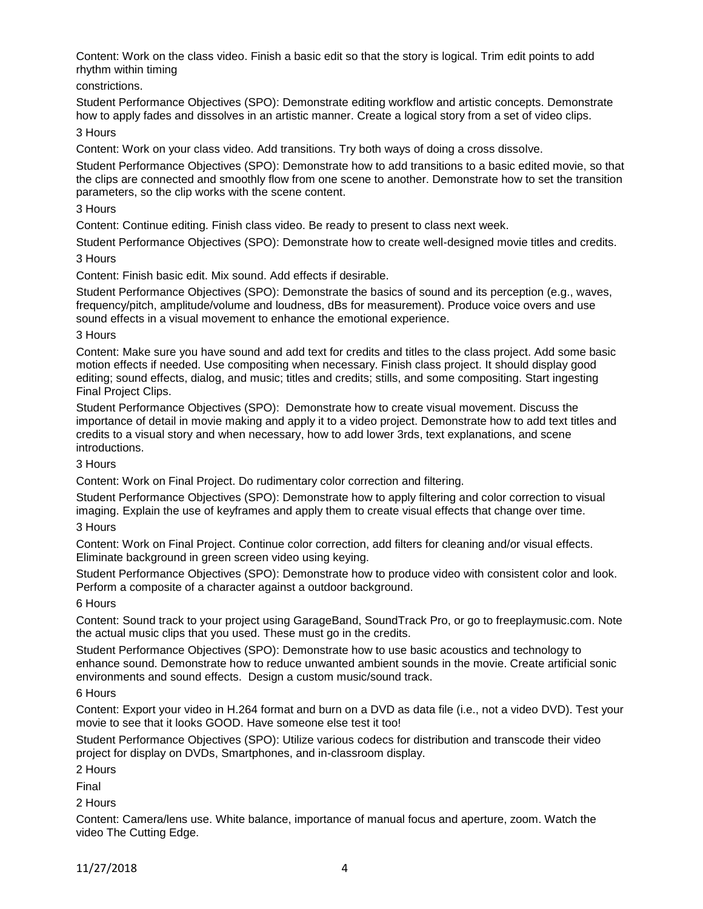Content: Work on the class video. Finish a basic edit so that the story is logical. Trim edit points to add rhythm within timing

constrictions.

Student Performance Objectives (SPO): Demonstrate editing workflow and artistic concepts. Demonstrate how to apply fades and dissolves in an artistic manner. Create a logical story from a set of video clips.

3 Hours

Content: Work on your class video. Add transitions. Try both ways of doing a cross dissolve.

Student Performance Objectives (SPO): Demonstrate how to add transitions to a basic edited movie, so that the clips are connected and smoothly flow from one scene to another. Demonstrate how to set the transition parameters, so the clip works with the scene content.

3 Hours

Content: Continue editing. Finish class video. Be ready to present to class next week.

Student Performance Objectives (SPO): Demonstrate how to create well-designed movie titles and credits. 3 Hours

Content: Finish basic edit. Mix sound. Add effects if desirable.

Student Performance Objectives (SPO): Demonstrate the basics of sound and its perception (e.g., waves, frequency/pitch, amplitude/volume and loudness, dBs for measurement). Produce voice overs and use sound effects in a visual movement to enhance the emotional experience.

#### 3 Hours

Content: Make sure you have sound and add text for credits and titles to the class project. Add some basic motion effects if needed. Use compositing when necessary. Finish class project. It should display good editing; sound effects, dialog, and music; titles and credits; stills, and some compositing. Start ingesting Final Project Clips.

Student Performance Objectives (SPO): Demonstrate how to create visual movement. Discuss the importance of detail in movie making and apply it to a video project. Demonstrate how to add text titles and credits to a visual story and when necessary, how to add lower 3rds, text explanations, and scene introductions.

3 Hours

Content: Work on Final Project. Do rudimentary color correction and filtering.

Student Performance Objectives (SPO): Demonstrate how to apply filtering and color correction to visual imaging. Explain the use of keyframes and apply them to create visual effects that change over time. 3 Hours

Content: Work on Final Project. Continue color correction, add filters for cleaning and/or visual effects. Eliminate background in green screen video using keying.

Student Performance Objectives (SPO): Demonstrate how to produce video with consistent color and look. Perform a composite of a character against a outdoor background.

## 6 Hours

Content: Sound track to your project using GarageBand, SoundTrack Pro, or go to freeplaymusic.com. Note the actual music clips that you used. These must go in the credits.

Student Performance Objectives (SPO): Demonstrate how to use basic acoustics and technology to enhance sound. Demonstrate how to reduce unwanted ambient sounds in the movie. Create artificial sonic environments and sound effects. Design a custom music/sound track.

## 6 Hours

Content: Export your video in H.264 format and burn on a DVD as data file (i.e., not a video DVD). Test your movie to see that it looks GOOD. Have someone else test it too!

Student Performance Objectives (SPO): Utilize various codecs for distribution and transcode their video project for display on DVDs, Smartphones, and in-classroom display.

2 Hours

Final

2 Hours

Content: Camera/lens use. White balance, importance of manual focus and aperture, zoom. Watch the video The Cutting Edge.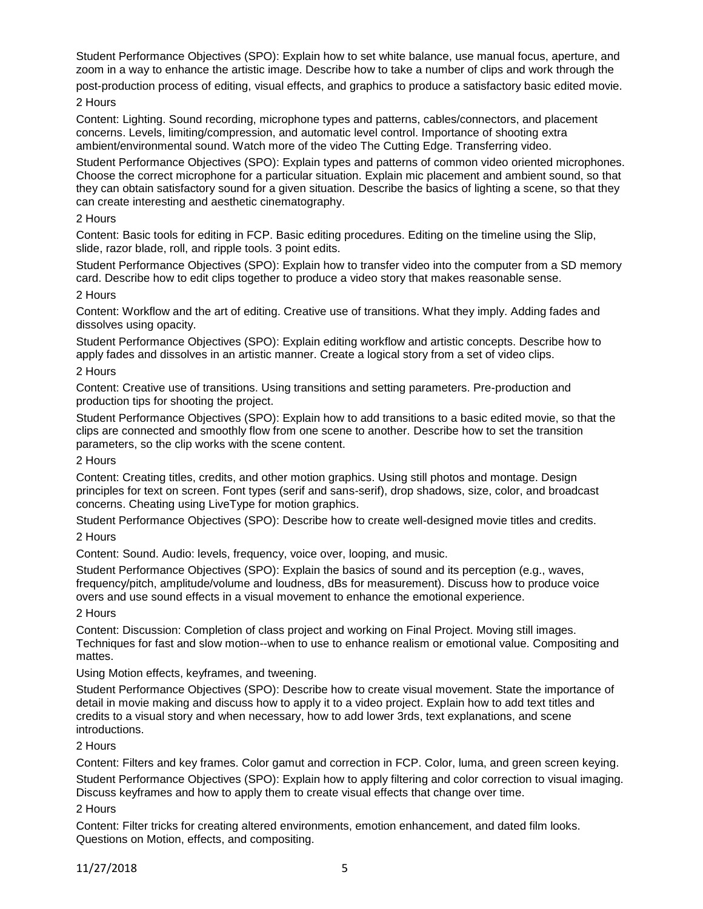Student Performance Objectives (SPO): Explain how to set white balance, use manual focus, aperture, and zoom in a way to enhance the artistic image. Describe how to take a number of clips and work through the

post-production process of editing, visual effects, and graphics to produce a satisfactory basic edited movie. 2 Hours

Content: Lighting. Sound recording, microphone types and patterns, cables/connectors, and placement concerns. Levels, limiting/compression, and automatic level control. Importance of shooting extra ambient/environmental sound. Watch more of the video The Cutting Edge. Transferring video.

Student Performance Objectives (SPO): Explain types and patterns of common video oriented microphones. Choose the correct microphone for a particular situation. Explain mic placement and ambient sound, so that they can obtain satisfactory sound for a given situation. Describe the basics of lighting a scene, so that they can create interesting and aesthetic cinematography.

#### 2 Hours

Content: Basic tools for editing in FCP. Basic editing procedures. Editing on the timeline using the Slip, slide, razor blade, roll, and ripple tools. 3 point edits.

Student Performance Objectives (SPO): Explain how to transfer video into the computer from a SD memory card. Describe how to edit clips together to produce a video story that makes reasonable sense.

#### 2 Hours

Content: Workflow and the art of editing. Creative use of transitions. What they imply. Adding fades and dissolves using opacity.

Student Performance Objectives (SPO): Explain editing workflow and artistic concepts. Describe how to apply fades and dissolves in an artistic manner. Create a logical story from a set of video clips.

## 2 Hours

Content: Creative use of transitions. Using transitions and setting parameters. Pre-production and production tips for shooting the project.

Student Performance Objectives (SPO): Explain how to add transitions to a basic edited movie, so that the clips are connected and smoothly flow from one scene to another. Describe how to set the transition parameters, so the clip works with the scene content.

#### 2 Hours

Content: Creating titles, credits, and other motion graphics. Using still photos and montage. Design principles for text on screen. Font types (serif and sans-serif), drop shadows, size, color, and broadcast concerns. Cheating using LiveType for motion graphics.

Student Performance Objectives (SPO): Describe how to create well-designed movie titles and credits.

## 2 Hours

Content: Sound. Audio: levels, frequency, voice over, looping, and music.

Student Performance Objectives (SPO): Explain the basics of sound and its perception (e.g., waves, frequency/pitch, amplitude/volume and loudness, dBs for measurement). Discuss how to produce voice overs and use sound effects in a visual movement to enhance the emotional experience.

## 2 Hours

Content: Discussion: Completion of class project and working on Final Project. Moving still images. Techniques for fast and slow motion--when to use to enhance realism or emotional value. Compositing and mattes.

Using Motion effects, keyframes, and tweening.

Student Performance Objectives (SPO): Describe how to create visual movement. State the importance of detail in movie making and discuss how to apply it to a video project. Explain how to add text titles and credits to a visual story and when necessary, how to add lower 3rds, text explanations, and scene introductions.

## 2 Hours

Content: Filters and key frames. Color gamut and correction in FCP. Color, luma, and green screen keying. Student Performance Objectives (SPO): Explain how to apply filtering and color correction to visual imaging. Discuss keyframes and how to apply them to create visual effects that change over time.

#### 2 Hours

Content: Filter tricks for creating altered environments, emotion enhancement, and dated film looks. Questions on Motion, effects, and compositing.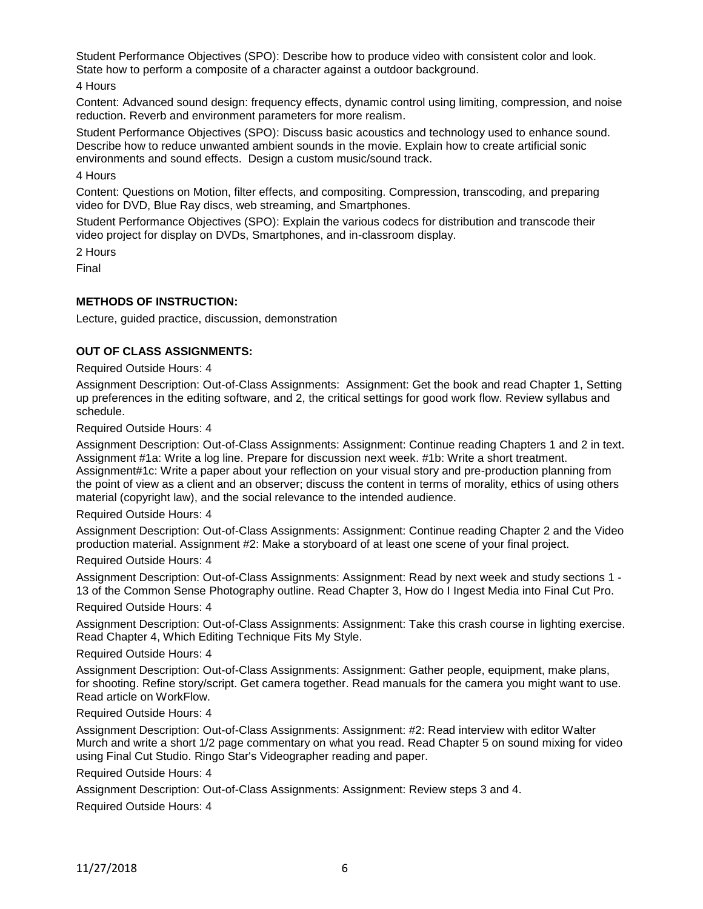Student Performance Objectives (SPO): Describe how to produce video with consistent color and look. State how to perform a composite of a character against a outdoor background.

4 Hours

Content: Advanced sound design: frequency effects, dynamic control using limiting, compression, and noise reduction. Reverb and environment parameters for more realism.

Student Performance Objectives (SPO): Discuss basic acoustics and technology used to enhance sound. Describe how to reduce unwanted ambient sounds in the movie. Explain how to create artificial sonic environments and sound effects. Design a custom music/sound track.

#### 4 Hours

Content: Questions on Motion, filter effects, and compositing. Compression, transcoding, and preparing video for DVD, Blue Ray discs, web streaming, and Smartphones.

Student Performance Objectives (SPO): Explain the various codecs for distribution and transcode their video project for display on DVDs, Smartphones, and in-classroom display.

2 Hours

Final

## **METHODS OF INSTRUCTION:**

Lecture, guided practice, discussion, demonstration

## **OUT OF CLASS ASSIGNMENTS:**

Required Outside Hours: 4

Assignment Description: Out-of-Class Assignments: Assignment: Get the book and read Chapter 1, Setting up preferences in the editing software, and 2, the critical settings for good work flow. Review syllabus and schedule.

Required Outside Hours: 4

Assignment Description: Out-of-Class Assignments: Assignment: Continue reading Chapters 1 and 2 in text. Assignment #1a: Write a log line. Prepare for discussion next week. #1b: Write a short treatment. Assignment#1c: Write a paper about your reflection on your visual story and pre-production planning from the point of view as a client and an observer; discuss the content in terms of morality, ethics of using others material (copyright law), and the social relevance to the intended audience.

Required Outside Hours: 4

Assignment Description: Out-of-Class Assignments: Assignment: Continue reading Chapter 2 and the Video production material. Assignment #2: Make a storyboard of at least one scene of your final project.

Required Outside Hours: 4

Assignment Description: Out-of-Class Assignments: Assignment: Read by next week and study sections 1 - 13 of the Common Sense Photography outline. Read Chapter 3, How do I Ingest Media into Final Cut Pro.

Required Outside Hours: 4

Assignment Description: Out-of-Class Assignments: Assignment: Take this crash course in lighting exercise. Read Chapter 4, Which Editing Technique Fits My Style.

Required Outside Hours: 4

Assignment Description: Out-of-Class Assignments: Assignment: Gather people, equipment, make plans, for shooting. Refine story/script. Get camera together. Read manuals for the camera you might want to use. Read article on WorkFlow.

#### Required Outside Hours: 4

Assignment Description: Out-of-Class Assignments: Assignment: #2: Read interview with editor Walter Murch and write a short 1/2 page commentary on what you read. Read Chapter 5 on sound mixing for video using Final Cut Studio. Ringo Star's Videographer reading and paper.

Required Outside Hours: 4

Assignment Description: Out-of-Class Assignments: Assignment: Review steps 3 and 4.

Required Outside Hours: 4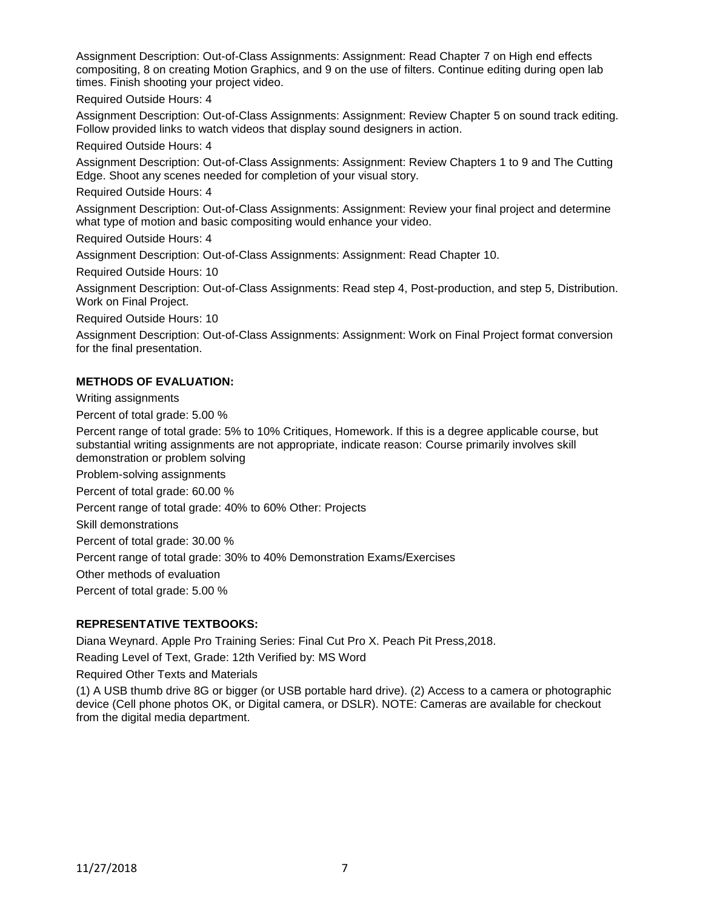Assignment Description: Out-of-Class Assignments: Assignment: Read Chapter 7 on High end effects compositing, 8 on creating Motion Graphics, and 9 on the use of filters. Continue editing during open lab times. Finish shooting your project video.

Required Outside Hours: 4

Assignment Description: Out-of-Class Assignments: Assignment: Review Chapter 5 on sound track editing. Follow provided links to watch videos that display sound designers in action.

Required Outside Hours: 4

Assignment Description: Out-of-Class Assignments: Assignment: Review Chapters 1 to 9 and The Cutting Edge. Shoot any scenes needed for completion of your visual story.

Required Outside Hours: 4

Assignment Description: Out-of-Class Assignments: Assignment: Review your final project and determine what type of motion and basic compositing would enhance your video.

Required Outside Hours: 4

Assignment Description: Out-of-Class Assignments: Assignment: Read Chapter 10.

Required Outside Hours: 10

Assignment Description: Out-of-Class Assignments: Read step 4, Post-production, and step 5, Distribution. Work on Final Project.

Required Outside Hours: 10

Assignment Description: Out-of-Class Assignments: Assignment: Work on Final Project format conversion for the final presentation.

## **METHODS OF EVALUATION:**

Writing assignments

Percent of total grade: 5.00 %

Percent range of total grade: 5% to 10% Critiques, Homework. If this is a degree applicable course, but substantial writing assignments are not appropriate, indicate reason: Course primarily involves skill demonstration or problem solving

Problem-solving assignments

Percent of total grade: 60.00 %

Percent range of total grade: 40% to 60% Other: Projects

Skill demonstrations

Percent of total grade: 30.00 %

Percent range of total grade: 30% to 40% Demonstration Exams/Exercises

Other methods of evaluation

Percent of total grade: 5.00 %

## **REPRESENTATIVE TEXTBOOKS:**

Diana Weynard. Apple Pro Training Series: Final Cut Pro X. Peach Pit Press,2018.

Reading Level of Text, Grade: 12th Verified by: MS Word

Required Other Texts and Materials

(1) A USB thumb drive 8G or bigger (or USB portable hard drive). (2) Access to a camera or photographic device (Cell phone photos OK, or Digital camera, or DSLR). NOTE: Cameras are available for checkout from the digital media department.